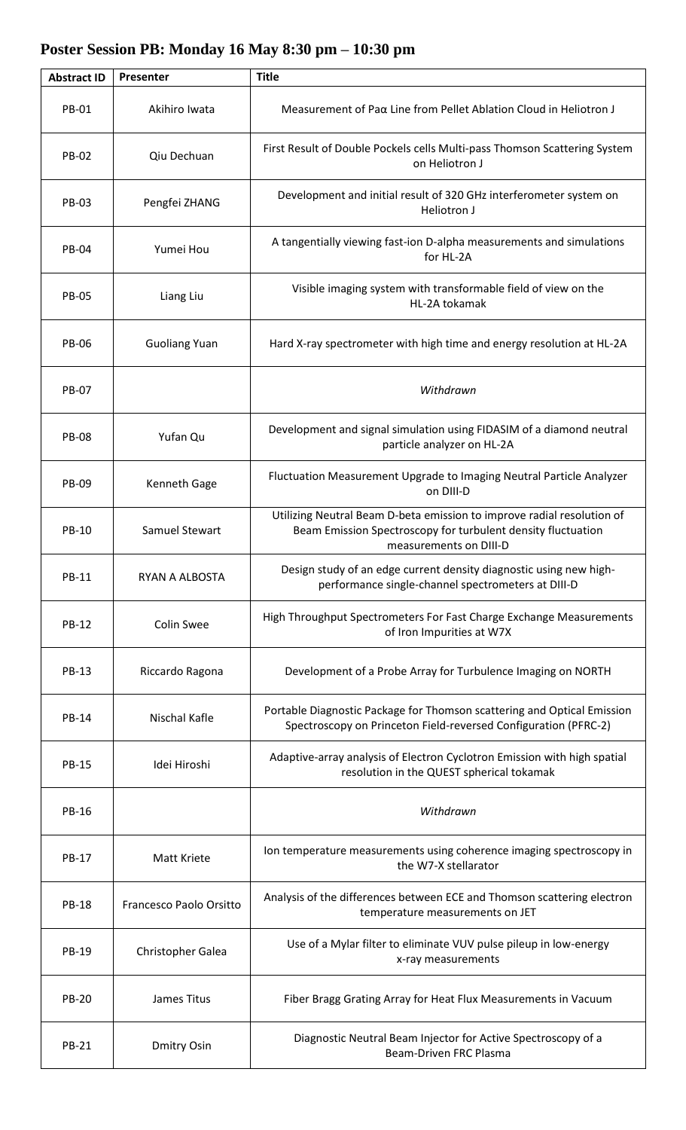## **Poster Session PB: Monday 16 May 8:30 pm – 10:30 pm**

| <b>Abstract ID</b> | Presenter               | <b>Title</b>                                                                                                                                                     |
|--------------------|-------------------------|------------------------------------------------------------------------------------------------------------------------------------------------------------------|
| <b>PB-01</b>       | Akihiro Iwata           | Measurement of Paα Line from Pellet Ablation Cloud in Heliotron J                                                                                                |
| <b>PB-02</b>       | Qiu Dechuan             | First Result of Double Pockels cells Multi-pass Thomson Scattering System<br>on Heliotron J                                                                      |
| <b>PB-03</b>       | Pengfei ZHANG           | Development and initial result of 320 GHz interferometer system on<br>Heliotron J                                                                                |
| <b>PB-04</b>       | Yumei Hou               | A tangentially viewing fast-ion D-alpha measurements and simulations<br>for HL-2A                                                                                |
| <b>PB-05</b>       | Liang Liu               | Visible imaging system with transformable field of view on the<br>HL-2A tokamak                                                                                  |
| <b>PB-06</b>       | <b>Guoliang Yuan</b>    | Hard X-ray spectrometer with high time and energy resolution at HL-2A                                                                                            |
| <b>PB-07</b>       |                         | Withdrawn                                                                                                                                                        |
| <b>PB-08</b>       | Yufan Qu                | Development and signal simulation using FIDASIM of a diamond neutral<br>particle analyzer on HL-2A                                                               |
| PB-09              | Kenneth Gage            | Fluctuation Measurement Upgrade to Imaging Neutral Particle Analyzer<br>on DIII-D                                                                                |
| PB-10              | Samuel Stewart          | Utilizing Neutral Beam D-beta emission to improve radial resolution of<br>Beam Emission Spectroscopy for turbulent density fluctuation<br>measurements on DIII-D |
| PB-11              | RYAN A ALBOSTA          | Design study of an edge current density diagnostic using new high-<br>performance single-channel spectrometers at DIII-D                                         |
| PB-12              | <b>Colin Swee</b>       | High Throughput Spectrometers For Fast Charge Exchange Measurements<br>of Iron Impurities at W7X                                                                 |
| PB-13              | Riccardo Ragona         | Development of a Probe Array for Turbulence Imaging on NORTH                                                                                                     |
| PB-14              | Nischal Kafle           | Portable Diagnostic Package for Thomson scattering and Optical Emission<br>Spectroscopy on Princeton Field-reversed Configuration (PFRC-2)                       |
| <b>PB-15</b>       | Idei Hiroshi            | Adaptive-array analysis of Electron Cyclotron Emission with high spatial<br>resolution in the QUEST spherical tokamak                                            |
| <b>PB-16</b>       |                         | Withdrawn                                                                                                                                                        |
| PB-17              | Matt Kriete             | Ion temperature measurements using coherence imaging spectroscopy in<br>the W7-X stellarator                                                                     |
| <b>PB-18</b>       | Francesco Paolo Orsitto | Analysis of the differences between ECE and Thomson scattering electron<br>temperature measurements on JET                                                       |
| PB-19              | Christopher Galea       | Use of a Mylar filter to eliminate VUV pulse pileup in low-energy<br>x-ray measurements                                                                          |
| <b>PB-20</b>       | James Titus             | Fiber Bragg Grating Array for Heat Flux Measurements in Vacuum                                                                                                   |
| <b>PB-21</b>       | <b>Dmitry Osin</b>      | Diagnostic Neutral Beam Injector for Active Spectroscopy of a<br>Beam-Driven FRC Plasma                                                                          |